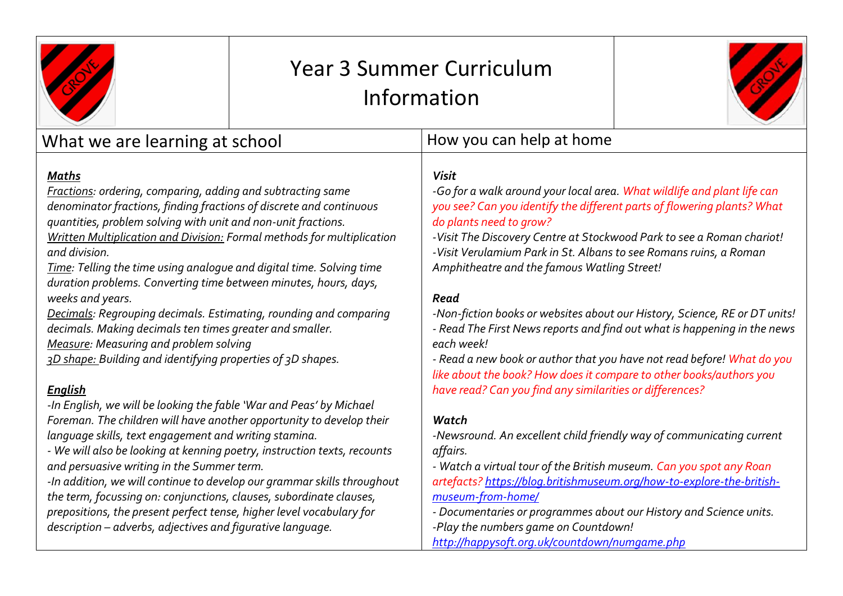|                                                                                                                                                                                                                                                                                                                                                                                                                                                                                                                                                                                                                                                                                                                                                                                                                   | <b>Year 3 Summer Curriculum</b><br>Information |                                                                                                                                                                                                                                                                                                                                                                                                                                                                                                                                                                                                                                                                                                                                                                                                  |  |
|-------------------------------------------------------------------------------------------------------------------------------------------------------------------------------------------------------------------------------------------------------------------------------------------------------------------------------------------------------------------------------------------------------------------------------------------------------------------------------------------------------------------------------------------------------------------------------------------------------------------------------------------------------------------------------------------------------------------------------------------------------------------------------------------------------------------|------------------------------------------------|--------------------------------------------------------------------------------------------------------------------------------------------------------------------------------------------------------------------------------------------------------------------------------------------------------------------------------------------------------------------------------------------------------------------------------------------------------------------------------------------------------------------------------------------------------------------------------------------------------------------------------------------------------------------------------------------------------------------------------------------------------------------------------------------------|--|
| What we are learning at school                                                                                                                                                                                                                                                                                                                                                                                                                                                                                                                                                                                                                                                                                                                                                                                    |                                                | How you can help at home                                                                                                                                                                                                                                                                                                                                                                                                                                                                                                                                                                                                                                                                                                                                                                         |  |
| Maths<br>Fractions: ordering, comparing, adding and subtracting same<br>denominator fractions, finding fractions of discrete and continuous<br>quantities, problem solving with unit and non-unit fractions.<br>Written Multiplication and Division: Formal methods for multiplication<br>and division.<br>Time: Telling the time using analogue and digital time. Solving time<br>duration problems. Converting time between minutes, hours, days,<br>weeks and years.<br><b>Decimals: Regrouping decimals. Estimating, rounding and comparing</b><br>decimals. Making decimals ten times greater and smaller.<br>Measure: Measuring and problem solving<br>3D shape: Building and identifying properties of 3D shapes.<br><b>English</b><br>-In English, we will be looking the fable 'War and Peas' by Michael |                                                | <b>Visit</b><br>-Go for a walk around your local area. What wildlife and plant life can<br>you see? Can you identify the different parts of flowering plants? What<br>do plants need to grow?<br>-Visit The Discovery Centre at Stockwood Park to see a Roman chariot!<br>-Visit Verulamium Park in St. Albans to see Romans ruins, a Roman<br>Amphitheatre and the famous Watling Street!<br>Read<br>-Non-fiction books or websites about our History, Science, RE or DT units!<br>- Read The First News reports and find out what is happening in the news<br>each week!<br>- Read a new book or author that you have not read before! What do you<br>like about the book? How does it compare to other books/authors you<br>have read? Can you find any similarities or differences?<br>Watch |  |
| language skills, text engagement and writing stamina.<br>- We will also be looking at kenning poetry, instruction texts, recounts<br>and persuasive writing in the Summer term.<br>-In addition, we will continue to develop our grammar skills throughout<br>the term, focussing on: conjunctions, clauses, subordinate clauses,<br>prepositions, the present perfect tense, higher level vocabulary for<br>description - adverbs, adjectives and figurative language.                                                                                                                                                                                                                                                                                                                                           |                                                | -Newsround. An excellent child friendly way of communicating current<br>affairs.<br>- Watch a virtual tour of the British museum. Can you spot any Roan<br>artefacts? https://blog.britishmuseum.org/how-to-explore-the-british-<br>museum-from-home/<br>- Documentaries or programmes about our History and Science units.<br>-Play the numbers game on Countdown!                                                                                                                                                                                                                                                                                                                                                                                                                              |  |
|                                                                                                                                                                                                                                                                                                                                                                                                                                                                                                                                                                                                                                                                                                                                                                                                                   |                                                | http://happysoft.org.uk/countdown/numgame.php                                                                                                                                                                                                                                                                                                                                                                                                                                                                                                                                                                                                                                                                                                                                                    |  |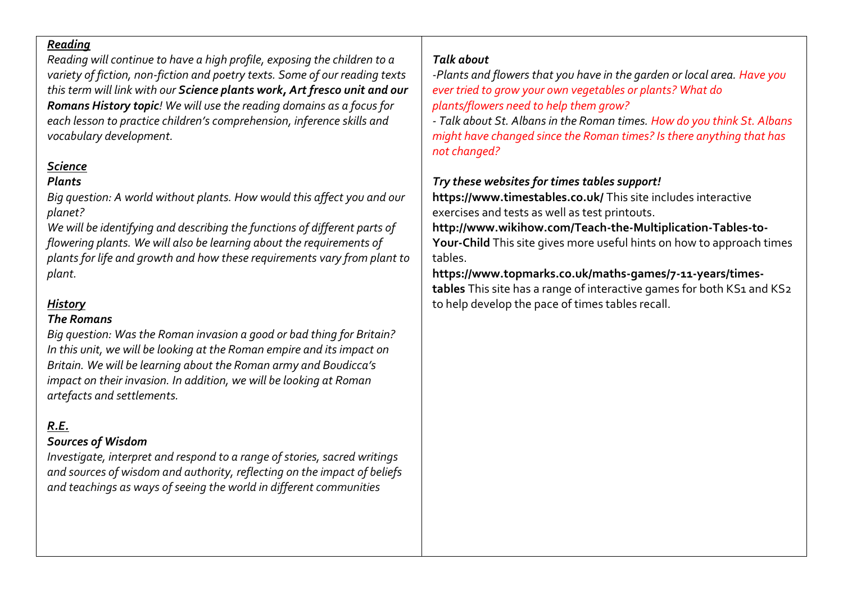### *Reading*

*Reading will continue to have a high profile, exposing the children to a variety of fiction, non-fiction and poetry texts. Some of our reading texts this term will link with our Science plants work, Art fresco unit and our Romans History topic! We will use the reading domains as a focus for each lesson to practice children's comprehension, inference skills and vocabulary development.* 

# *Science*

# *Plants*

*Big question: A world without plants. How would this affect you and our planet?*

*We will be identifying and describing the functions of different parts of flowering plants. We will also be learning about the requirements of plants for life and growth and how these requirements vary from plant to plant.* 

# *History*

# *The Romans*

*Big question: Was the Roman invasion a good or bad thing for Britain? In this unit, we will be looking at the Roman empire and its impact on Britain. We will be learning about the Roman army and Boudicca's impact on their invasion. In addition, we will be looking at Roman artefacts and settlements.* 

# *R.E.*

# *Sources of Wisdom*

*Investigate, interpret and respond to a range of stories, sacred writings and sources of wisdom and authority, reflecting on the impact of beliefs and teachings as ways of seeing the world in different communities*

# *Talk about*

*-Plants and flowers that you have in the garden or local area. Have you ever tried to grow your own vegetables or plants? What do plants/flowers need to help them grow?*

*- Talk about St. Albans in the Roman times. How do you think St. Albans might have changed since the Roman times? Is there anything that has not changed?*

# *Try these websites for times tables support!*

**https://www.timestables.co.uk/** This site includes interactive exercises and tests as well as test printouts.

**http://www.wikihow.com/Teach-the-Multiplication-Tables-to-Your-Child** This site gives more useful hints on how to approach times tables.

## **https://www.topmarks.co.uk/maths-games/7-11-years/times**tables This site has a range of interactive games for both KS1 and KS2 to help develop the pace of times tables recall.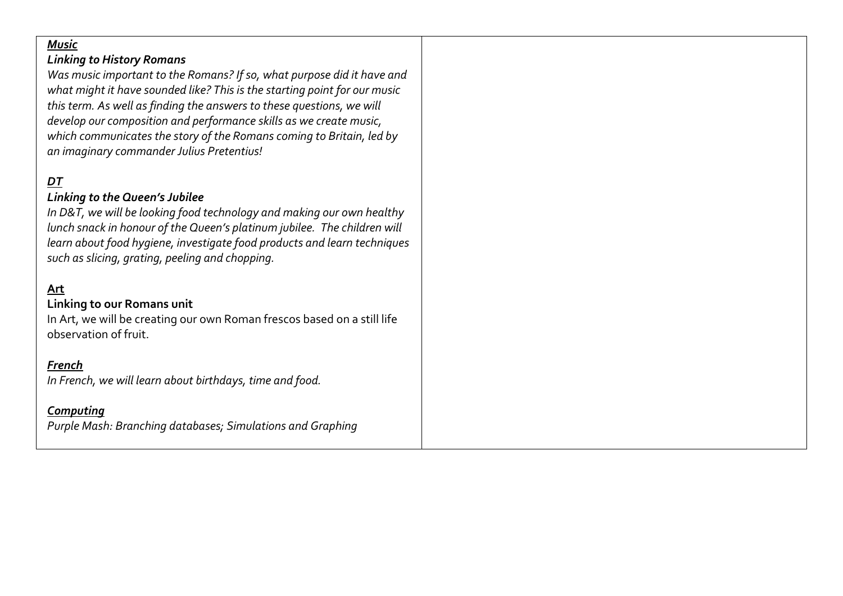### *Music*

#### *Linking to History Romans*

*Was music important to the Romans? If so, what purpose did it have and what might it have sounded like? This is the starting point for our music this term. As well as finding the answers to these questions, we will develop our composition and performance skills as we create music, which communicates the story of the Romans coming to Britain, led by an imaginary commander Julius Pretentius!*

# *DT*

### *Linking to the Queen's Jubilee*

*In D&T, we will be looking food technology and making our own healthy lunch snack in honour of the Queen's platinum jubilee. The children will learn about food hygiene, investigate food products and learn techniques such as slicing, grating, peeling and chopping.* 

## **Art**

### **Linking to our Romans unit**

In Art, we will be creating our own Roman frescos based on a still life observation of fruit.

#### *French*

*In French, we will learn about birthdays, time and food.* 

#### *Computing*

*Purple Mash: Branching databases; Simulations and Graphing*